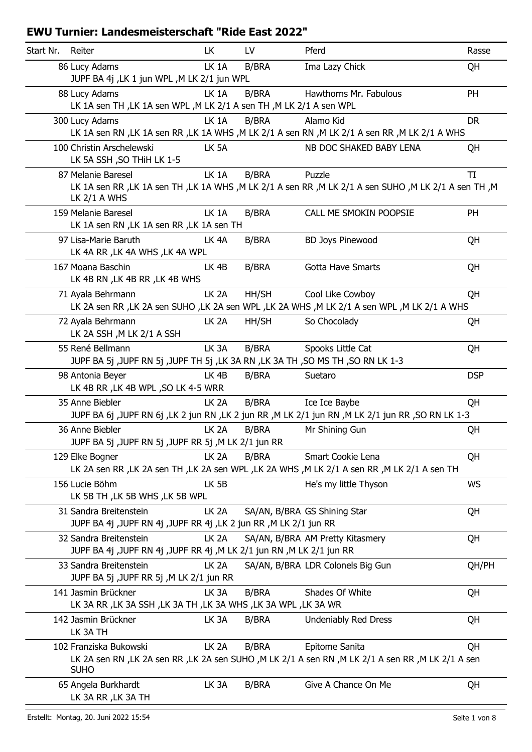| Start Nr. | Reiter                                                                                             | LK                | LV           | Pferd                                                                                                                   | Rasse      |
|-----------|----------------------------------------------------------------------------------------------------|-------------------|--------------|-------------------------------------------------------------------------------------------------------------------------|------------|
|           | 86 Lucy Adams<br>JUPF BA 4j , LK 1 jun WPL , M LK 2/1 jun WPL                                      | LK 1A             | B/BRA        | Ima Lazy Chick                                                                                                          | QH         |
|           | 88 Lucy Adams<br>LK 1A sen TH, LK 1A sen WPL, M LK 2/1 A sen TH, M LK 2/1 A sen WPL                | LK <sub>1</sub> A | <b>B/BRA</b> | Hawthorns Mr. Fabulous                                                                                                  | PH         |
|           | 300 Lucy Adams                                                                                     | LK <sub>1</sub> A | <b>B/BRA</b> | Alamo Kid                                                                                                               | <b>DR</b>  |
|           |                                                                                                    |                   |              | LK 1A sen RN , LK 1A sen RR , LK 1A WHS , M LK 2/1 A sen RN , M LK 2/1 A sen RR , M LK 2/1 A WHS                        |            |
|           | 100 Christin Arschelewski<br>LK 5A SSH, SO THIH LK 1-5                                             | LK 5A             |              | NB DOC SHAKED BABY LENA                                                                                                 | QH         |
|           | 87 Melanie Baresel                                                                                 | LK 1A             | <b>B/BRA</b> | Puzzle                                                                                                                  | TI         |
|           | LK $2/1$ A WHS                                                                                     |                   |              | LK 1A sen RR, LK 1A sen TH, LK 1A WHS, M LK 2/1 A sen RR, M LK 2/1 A sen SUHO, M LK 2/1 A sen TH, M                     |            |
|           | 159 Melanie Baresel<br>LK 1A sen RN , LK 1A sen RR , LK 1A sen TH                                  | LK 1A             | <b>B/BRA</b> | CALL ME SMOKIN POOPSIE                                                                                                  | PH         |
|           | 97 Lisa-Marie Baruth<br>LK 4A RR, LK 4A WHS, LK 4A WPL                                             | LK <sub>4</sub> A | <b>B/BRA</b> | <b>BD Joys Pinewood</b>                                                                                                 | QH         |
|           | 167 Moana Baschin<br>LK 4B RN, LK 4B RR, LK 4B WHS                                                 | LK <sub>4B</sub>  | <b>B/BRA</b> | <b>Gotta Have Smarts</b>                                                                                                | QH         |
|           | 71 Ayala Behrmann                                                                                  | LK <sub>2</sub> A | HH/SH        | Cool Like Cowboy<br>LK 2A sen RR , LK 2A sen SUHO , LK 2A sen WPL , LK 2A WHS , M LK 2/1 A sen WPL , M LK 2/1 A WHS     | QH         |
|           | 72 Ayala Behrmann<br>LK 2A SSH, M LK 2/1 A SSH                                                     | LK <sub>2</sub> A | HH/SH        | So Chocolady                                                                                                            | QH         |
|           | 55 René Bellmann<br>JUPF BA 5j ,JUPF RN 5j ,JUPF TH 5j ,LK 3A RN ,LK 3A TH ,SO MS TH ,SO RN LK 1-3 | LK <sub>3</sub> A | <b>B/BRA</b> | Spooks Little Cat                                                                                                       | QH         |
|           | 98 Antonia Beyer<br>LK 4B RR, LK 4B WPL, SO LK 4-5 WRR                                             | LK <sub>4B</sub>  | B/BRA        | Suetaro                                                                                                                 | <b>DSP</b> |
|           | 35 Anne Biebler                                                                                    | LK <sub>2A</sub>  | <b>B/BRA</b> | Ice Ice Baybe<br>JUPF BA 6j ,JUPF RN 6j ,LK 2 jun RN ,LK 2 jun RR ,M LK 2/1 jun RN ,M LK 2/1 jun RR ,SO RN LK 1-3       | QH         |
|           | 36 Anne Biebler<br>JUPF BA 5j ,JUPF RN 5j ,JUPF RR 5j ,M LK 2/1 jun RR                             | LK <sub>2</sub> A | B/BRA        | Mr Shining Gun                                                                                                          | QH         |
|           | 129 Elke Bogner                                                                                    | LK <sub>2A</sub>  | <b>B/BRA</b> | Smart Cookie Lena                                                                                                       | QH         |
|           |                                                                                                    |                   |              | LK 2A sen RR, LK 2A sen TH, LK 2A sen WPL, LK 2A WHS, M LK 2/1 A sen RR, M LK 2/1 A sen TH                              |            |
|           | 156 Lucie Böhm                                                                                     | LK 5B             |              | He's my little Thyson                                                                                                   | <b>WS</b>  |
|           | LK 5B TH, LK 5B WHS, LK 5B WPL                                                                     |                   |              |                                                                                                                         |            |
|           | 31 Sandra Breitenstein<br>JUPF BA 4j ,JUPF RN 4j ,JUPF RR 4j ,LK 2 jun RR ,M LK 2/1 jun RR         | LK <sub>2</sub> A |              | SA/AN, B/BRA GS Shining Star                                                                                            | QH         |
|           | 32 Sandra Breitenstein                                                                             | LK <sub>2</sub> A |              | SA/AN, B/BRA AM Pretty Kitasmery                                                                                        | QH         |
|           | JUPF BA 4j ,JUPF RN 4j ,JUPF RR 4j ,M LK 2/1 jun RN ,M LK 2/1 jun RR                               |                   |              |                                                                                                                         |            |
|           | 33 Sandra Breitenstein<br>JUPF BA 5j ,JUPF RR 5j ,M LK 2/1 jun RR                                  | LK <sub>2</sub> A |              | SA/AN, B/BRA LDR Colonels Big Gun                                                                                       | QH/PH      |
|           | 141 Jasmin Brückner<br>LK 3A RR, LK 3A SSH, LK 3A TH, LK 3A WHS, LK 3A WPL, LK 3A WR               | LK <sub>3</sub> A | <b>B/BRA</b> | Shades Of White                                                                                                         | QH         |
|           | 142 Jasmin Brückner<br>LK 3A TH                                                                    | LK 3A             | <b>B/BRA</b> | <b>Undeniably Red Dress</b>                                                                                             | QH         |
|           | 102 Franziska Bukowski<br><b>SUHO</b>                                                              | LK <sub>2</sub> A | <b>B/BRA</b> | Epitome Sanita<br>LK 2A sen RN , LK 2A sen RR , LK 2A sen SUHO , M LK 2/1 A sen RN , M LK 2/1 A sen RR , M LK 2/1 A sen | QH         |
|           | 65 Angela Burkhardt<br>LK 3A RR, LK 3A TH                                                          | LK 3A             | B/BRA        | Give A Chance On Me                                                                                                     | QH         |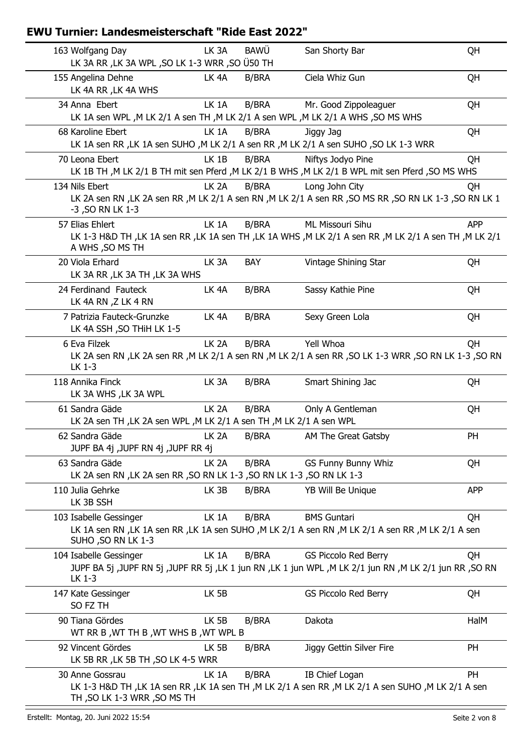| 163 Wolfgang Day                                                         |                   |              |                                                                                                            |            |
|--------------------------------------------------------------------------|-------------------|--------------|------------------------------------------------------------------------------------------------------------|------------|
| LK 3A RR, LK 3A WPL, SO LK 1-3 WRR, SO Ü50 TH                            | LK <sub>3</sub> A | <b>BAWÜ</b>  | San Shorty Bar                                                                                             | QH         |
| 155 Angelina Dehne                                                       | LK <sub>4</sub> A | <b>B/BRA</b> | Ciela Whiz Gun                                                                                             |            |
| LK 4A RR, LK 4A WHS                                                      |                   |              |                                                                                                            | QH         |
| 34 Anna Ebert                                                            | LK 1A             | <b>B/BRA</b> | Mr. Good Zippoleaguer                                                                                      | QH         |
|                                                                          |                   |              | LK 1A sen WPL, M LK 2/1 A sen TH, M LK 2/1 A sen WPL, M LK 2/1 A WHS, SO MS WHS                            |            |
| 68 Karoline Ebert                                                        | LK 1A             | <b>B/BRA</b> | Jiggy Jag                                                                                                  | QH         |
|                                                                          |                   |              | LK 1A sen RR , LK 1A sen SUHO , M LK 2/1 A sen RR , M LK 2/1 A sen SUHO , SO LK 1-3 WRR                    |            |
| 70 Leona Ebert                                                           | LK 1B             | <b>B/BRA</b> | Niftys Jodyo Pine                                                                                          | QH         |
|                                                                          |                   |              | LK 1B TH ,M LK 2/1 B TH mit sen Pferd ,M LK 2/1 B WHS ,M LK 2/1 B WPL mit sen Pferd ,SO MS WHS             |            |
| 134 Nils Ebert                                                           | LK <sub>2</sub> A | <b>B/BRA</b> | Long John City                                                                                             | QH         |
| -3, SO RN LK 1-3                                                         |                   |              | LK 2A sen RN , LK 2A sen RR , M LK 2/1 A sen RN , M LK 2/1 A sen RR , SO MS RR , SO RN LK 1-3 , SO RN LK 1 |            |
| 57 Elias Ehlert                                                          | LK 1A             | <b>B/BRA</b> | ML Missouri Sihu                                                                                           | <b>APP</b> |
| A WHS, SO MS TH                                                          |                   |              | LK 1-3 H&D TH , LK 1A sen RR , LK 1A sen TH , LK 1A WHS , M LK 2/1 A sen RR , M LK 2/1 A sen TH , M LK 2/1 |            |
|                                                                          |                   |              |                                                                                                            |            |
| 20 Viola Erhard<br>LK 3A RR, LK 3A TH, LK 3A WHS                         | LK <sub>3</sub> A | BAY          | Vintage Shining Star                                                                                       | QH         |
| 24 Ferdinand Fauteck                                                     | LK <sub>4</sub> A | <b>B/BRA</b> | Sassy Kathie Pine                                                                                          | QH         |
| LK 4A RN, Z LK 4 RN                                                      |                   |              |                                                                                                            |            |
| 7 Patrizia Fauteck-Grunzke                                               | LK <sub>4</sub> A | B/BRA        | Sexy Green Lola                                                                                            | QH         |
| LK 4A SSH, SO THIH LK 1-5                                                |                   |              |                                                                                                            |            |
| 6 Eva Filzek                                                             | LK <sub>2A</sub>  | <b>B/BRA</b> | Yell Whoa                                                                                                  | QH         |
|                                                                          |                   |              |                                                                                                            |            |
| LK 1-3                                                                   |                   |              | LK 2A sen RN , LK 2A sen RR , M LK 2/1 A sen RN , M LK 2/1 A sen RR , SO LK 1-3 WRR , SO RN LK 1-3 , SO RN |            |
| 118 Annika Finck<br>LK 3A WHS, LK 3A WPL                                 | LK 3A             | <b>B/BRA</b> | Smart Shining Jac                                                                                          | QH         |
|                                                                          |                   |              |                                                                                                            |            |
| 61 Sandra Gäde                                                           | LK <sub>2A</sub>  | <b>B/BRA</b> | Only A Gentleman                                                                                           | QH         |
| LK 2A sen TH, LK 2A sen WPL, M LK 2/1 A sen TH, M LK 2/1 A sen WPL       |                   |              |                                                                                                            |            |
|                                                                          |                   |              |                                                                                                            |            |
| 62 Sandra Gäde                                                           | LK <sub>2</sub> A | <b>B/BRA</b> | AM The Great Gatsby                                                                                        | PH         |
| JUPF BA 4j ,JUPF RN 4j ,JUPF RR 4j                                       |                   |              |                                                                                                            |            |
| 63 Sandra Gäde                                                           | LK <sub>2</sub> A | <b>B/BRA</b> | <b>GS Funny Bunny Whiz</b>                                                                                 | QH         |
| LK 2A sen RN , LK 2A sen RR , SO RN LK 1-3 , SO RN LK 1-3 , SO RN LK 1-3 |                   |              |                                                                                                            |            |
|                                                                          | LK 3B             | <b>B/BRA</b> | YB Will Be Unique                                                                                          | <b>APP</b> |
| 110 Julia Gehrke<br>LK 3B SSH                                            |                   |              |                                                                                                            |            |
| 103 Isabelle Gessinger                                                   | LK 1A             | <b>B/BRA</b> | <b>BMS Guntari</b>                                                                                         | QH         |
| SUHO, SO RN LK 1-3                                                       |                   |              | LK 1A sen RN, LK 1A sen RR, LK 1A sen SUHO, M LK 2/1 A sen RN, M LK 2/1 A sen RR, M LK 2/1 A sen           |            |
|                                                                          | LK 1A             | <b>B/BRA</b> | <b>GS Piccolo Red Berry</b>                                                                                | QH         |
| 104 Isabelle Gessinger                                                   |                   |              | JUPF BA 5j ,JUPF RN 5j ,JUPF RR 5j ,LK 1 jun RN ,LK 1 jun WPL ,M LK 2/1 jun RN ,M LK 2/1 jun RR ,SO RN     |            |
| LK 1-3                                                                   |                   |              |                                                                                                            |            |
|                                                                          | LK 5B             |              | <b>GS Piccolo Red Berry</b>                                                                                | QH         |
| SO FZ TH                                                                 |                   |              |                                                                                                            |            |
| 90 Tiana Gördes                                                          | LK 5B             | <b>B/BRA</b> | Dakota                                                                                                     | HalM       |
| WT RR B, WT TH B, WT WHS B, WT WPL B                                     |                   |              |                                                                                                            |            |
| 147 Kate Gessinger<br>92 Vincent Gördes                                  | LK 5B             | <b>B/BRA</b> | Jiggy Gettin Silver Fire                                                                                   | PH         |
| LK 5B RR, LK 5B TH, SO LK 4-5 WRR                                        |                   |              |                                                                                                            |            |
| 30 Anne Gossrau                                                          | LK 1A             | <b>B/BRA</b> | IB Chief Logan                                                                                             | <b>PH</b>  |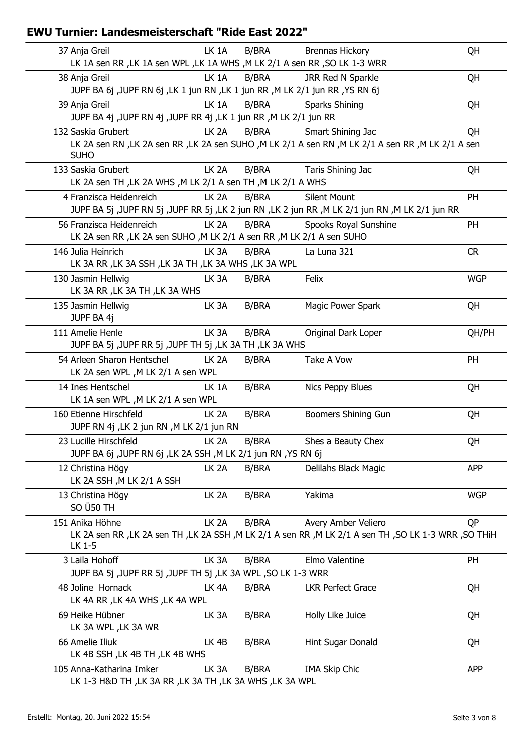| 37 Anja Greil<br>LK 1A sen RR, LK 1A sen WPL, LK 1A WHS, M LK 2/1 A sen RR, SO LK 1-3 WRR | LK 1A             | <b>B/BRA</b> | <b>Brennas Hickory</b>                                                                                | QH         |
|-------------------------------------------------------------------------------------------|-------------------|--------------|-------------------------------------------------------------------------------------------------------|------------|
| 38 Anja Greil                                                                             | LK <sub>1</sub> A | <b>B/BRA</b> | JRR Red N Sparkle                                                                                     | QH         |
| JUPF BA 6j ,JUPF RN 6j ,LK 1 jun RN ,LK 1 jun RR ,M LK 2/1 jun RR ,YS RN 6j               |                   |              |                                                                                                       |            |
| 39 Anja Greil<br>JUPF BA 4j ,JUPF RN 4j ,JUPF RR 4j ,LK 1 jun RR ,M LK 2/1 jun RR         | LK 1A             | <b>B/BRA</b> | Sparks Shining                                                                                        | QH         |
| 132 Saskia Grubert                                                                        | LK <sub>2A</sub>  | <b>B/BRA</b> | Smart Shining Jac                                                                                     | QH         |
| <b>SUHO</b>                                                                               |                   |              | LK 2A sen RN , LK 2A sen RR , LK 2A sen SUHO , M LK 2/1 A sen RN , M LK 2/1 A sen RR , M LK 2/1 A sen |            |
| 133 Saskia Grubert<br>LK 2A sen TH, LK 2A WHS, M LK 2/1 A sen TH, M LK 2/1 A WHS          | LK <sub>2A</sub>  | <b>B/BRA</b> | Taris Shining Jac                                                                                     | QH         |
| 4 Franzisca Heidenreich                                                                   | LK <sub>2</sub> A | <b>B/BRA</b> | <b>Silent Mount</b>                                                                                   | PH         |
|                                                                                           |                   |              | JUPF BA 5j ,JUPF RN 5j ,JUPF RR 5j ,LK 2 jun RN ,LK 2 jun RR ,M LK 2/1 jun RN ,M LK 2/1 jun RR        |            |
| 56 Franzisca Heidenreich                                                                  | LK <sub>2A</sub>  | <b>B/BRA</b> | Spooks Royal Sunshine                                                                                 | PH         |
| LK 2A sen RR, LK 2A sen SUHO, M LK 2/1 A sen RR, M LK 2/1 A sen SUHO                      |                   |              |                                                                                                       |            |
| 146 Julia Heinrich                                                                        | LK <sub>3</sub> A | <b>B/BRA</b> | La Luna 321                                                                                           | <b>CR</b>  |
| LK 3A RR, LK 3A SSH, LK 3A TH, LK 3A WHS, LK 3A WPL                                       |                   |              |                                                                                                       |            |
| 130 Jasmin Hellwig                                                                        | LK 3A             | <b>B/BRA</b> | Felix                                                                                                 | <b>WGP</b> |
| LK 3A RR, LK 3A TH, LK 3A WHS                                                             |                   |              |                                                                                                       |            |
| 135 Jasmin Hellwig                                                                        | LK <sub>3</sub> A | <b>B/BRA</b> | Magic Power Spark                                                                                     | QH         |
| JUPF BA 4j                                                                                |                   |              |                                                                                                       |            |
| 111 Amelie Henle                                                                          | LK <sub>3</sub> A | <b>B/BRA</b> | Original Dark Loper                                                                                   | QH/PH      |
| JUPF BA 5j ,JUPF RR 5j ,JUPF TH 5j ,LK 3A TH ,LK 3A WHS                                   |                   |              |                                                                                                       |            |
| 54 Arleen Sharon Hentschel                                                                | LK <sub>2</sub> A | <b>B/BRA</b> | Take A Vow                                                                                            | PH         |
| LK 2A sen WPL, M LK 2/1 A sen WPL                                                         |                   |              |                                                                                                       |            |
| 14 Ines Hentschel                                                                         | LK 1A             | <b>B/BRA</b> | Nics Peppy Blues                                                                                      | QH         |
| LK 1A sen WPL, M LK 2/1 A sen WPL                                                         |                   |              |                                                                                                       |            |
| 160 Etienne Hirschfeld                                                                    | LK <sub>2</sub> A | <b>B/BRA</b> | Boomers Shining Gun                                                                                   | QH         |
| JUPF RN 4j , LK 2 jun RN , M LK 2/1 jun RN                                                |                   |              |                                                                                                       |            |
| 23 Lucille Hirschfeld                                                                     | LK <sub>2A</sub>  | B/BRA        | Shes a Beauty Chex                                                                                    | QH         |
| JUPF BA 6j ,JUPF RN 6j ,LK 2A SSH ,M LK 2/1 jun RN ,YS RN 6j                              |                   |              |                                                                                                       |            |
| 12 Christina Högy                                                                         | LK <sub>2</sub> A | <b>B/BRA</b> | Delilahs Black Magic                                                                                  | <b>APP</b> |
| LK 2A SSH, M LK 2/1 A SSH                                                                 |                   |              |                                                                                                       |            |
| 13 Christina Högy                                                                         | LK <sub>2</sub> A | <b>B/BRA</b> | Yakima                                                                                                | <b>WGP</b> |
| SO Ü50 TH                                                                                 |                   |              |                                                                                                       |            |
| 151 Anika Höhne                                                                           | LK <sub>2A</sub>  | <b>B/BRA</b> | Avery Amber Veliero                                                                                   | QP         |
|                                                                                           |                   |              | LK 2A sen RR, LK 2A sen TH, LK 2A SSH, M LK 2/1 A sen RR, M LK 2/1 A sen TH, SO LK 1-3 WRR, SO THiH   |            |
| LK 1-5                                                                                    |                   |              |                                                                                                       |            |
| 3 Laila Hohoff                                                                            | LK <sub>3</sub> A | <b>B/BRA</b> | Elmo Valentine                                                                                        | PH         |
| JUPF BA 5j ,JUPF RR 5j ,JUPF TH 5j ,LK 3A WPL ,SO LK 1-3 WRR                              |                   |              |                                                                                                       |            |
| 48 Joline Hornack                                                                         | LK <sub>4</sub> A | <b>B/BRA</b> | <b>LKR Perfect Grace</b>                                                                              | QH         |
| LK 4A RR, LK 4A WHS, LK 4A WPL                                                            |                   |              |                                                                                                       |            |
| 69 Heike Hübner                                                                           | LK 3A             | <b>B/BRA</b> | Holly Like Juice                                                                                      | QH         |
| LK 3A WPL, LK 3A WR                                                                       |                   |              |                                                                                                       |            |
| 66 Amelie Iliuk                                                                           | LK 4B             | <b>B/BRA</b> | Hint Sugar Donald                                                                                     | QH         |
| LK 4B SSH, LK 4B TH, LK 4B WHS                                                            |                   |              |                                                                                                       |            |
| 105 Anna-Katharina Imker                                                                  | LK 3A             | <b>B/BRA</b> | <b>IMA Skip Chic</b>                                                                                  | APP        |
| LK 1-3 H&D TH, LK 3A RR, LK 3A TH, LK 3A WHS, LK 3A WPL                                   |                   |              |                                                                                                       |            |
|                                                                                           |                   |              |                                                                                                       |            |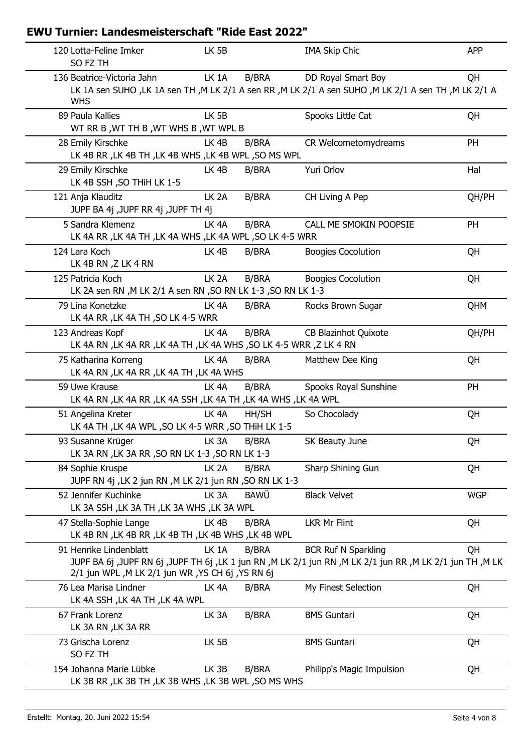| 120 Lotta-Feline Imker<br>SO FZ TH                                                    | LK 5B                                                                 | <b>IMA Skip Chic</b>                                                                                                                   | <b>APP</b> |
|---------------------------------------------------------------------------------------|-----------------------------------------------------------------------|----------------------------------------------------------------------------------------------------------------------------------------|------------|
| 136 Beatrice-Victoria Jahn                                                            | LK 1A<br><b>B/BRA</b>                                                 | DD Royal Smart Boy                                                                                                                     | <b>QH</b>  |
| <b>WHS</b>                                                                            |                                                                       | LK 1A sen SUHO ,LK 1A sen TH ,M LK 2/1 A sen RR ,M LK 2/1 A sen SUHO ,M LK 2/1 A sen TH ,M LK 2/1 A                                    |            |
| 89 Paula Kallies<br>WT RR B, WT TH B, WT WHS B, WT WPL B                              | LK 5B                                                                 | Spooks Little Cat                                                                                                                      | QH         |
| 28 Emily Kirschke<br>LK 4B RR, LK 4B TH, LK 4B WHS, LK 4B WPL, SO MS WPL              | LK <sub>4B</sub><br>B/BRA                                             | CR Welcometomydreams                                                                                                                   | PH         |
| 29 Emily Kirschke<br>LK 4B SSH, SO THIH LK 1-5                                        | LK <sub>4B</sub><br><b>B/BRA</b>                                      | Yuri Orlov                                                                                                                             | Hal        |
| 121 Anja Klauditz<br>JUPF BA 4j ,JUPF RR 4j ,JUPF TH 4j                               | LK <sub>2</sub> A<br><b>B/BRA</b>                                     | CH Living A Pep                                                                                                                        | QH/PH      |
| 5 Sandra Klemenz<br>LK 4A RR, LK 4A TH, LK 4A WHS, LK 4A WPL, SO LK 4-5 WRR           | LK <sub>4A</sub><br><b>B/BRA</b>                                      | CALL ME SMOKIN POOPSIE                                                                                                                 | PH         |
| 124 Lara Koch<br>LK 4B RN, Z LK 4 RN                                                  | LK 4B<br><b>B/BRA</b>                                                 | <b>Boogies Cocolution</b>                                                                                                              | QH         |
| 125 Patricia Koch<br>LK 2A sen RN , M LK 2/1 A sen RN , SO RN LK 1-3 , SO RN LK 1-3   | LK <sub>2A</sub><br>B/BRA                                             | <b>Boogies Cocolution</b>                                                                                                              | QH         |
| 79 Lina Konetzke<br>LK 4A RR, LK 4A TH, SO LK 4-5 WRR                                 | LK <sub>4</sub> A<br>B/BRA                                            | Rocks Brown Sugar                                                                                                                      | <b>QHM</b> |
| 123 Andreas Kopf<br>LK 4A RN, LK 4A RR, LK 4A TH, LK 4A WHS, SO LK 4-5 WRR, Z LK 4 RN | <b>B/BRA</b><br>LK <sub>4</sub> A                                     | <b>CB Blazinhot Quixote</b>                                                                                                            | QH/PH      |
| 75 Katharina Korreng<br>LK 4A RN, LK 4A RR, LK 4A TH, LK 4A WHS                       | LK <sub>4</sub> A<br>B/BRA                                            | Matthew Dee King                                                                                                                       | QH         |
| 59 Uwe Krause<br>LK 4A RN , LK 4A RR , LK 4A SSH , LK 4A TH , LK 4A WHS , LK 4A WPL   | <b>B/BRA</b><br>LK 4A                                                 | Spooks Royal Sunshine                                                                                                                  | PH         |
| 51 Angelina Kreter<br>LK 4A TH, LK 4A WPL, SO LK 4-5 WRR, SO THIH LK 1-5              | LK <sub>4A</sub><br>HH/SH                                             | So Chocolady                                                                                                                           | QH         |
| 93 Susanne Krüger<br>LK 3A RN, LK 3A RR, SO RN LK 1-3, SO RN LK 1-3                   | LK 3A<br>B/BRA                                                        | SK Beauty June                                                                                                                         | QH         |
| 84 Sophie Kruspe<br>JUPF RN 4j , LK 2 jun RN , M LK 2/1 jun RN , SO RN LK 1-3         | <b>B/BRA</b><br>LK 2A                                                 | Sharp Shining Gun                                                                                                                      | QH         |
| 52 Jennifer Kuchinke<br>LK 3A SSH, LK 3A TH, LK 3A WHS, LK 3A WPL                     | <b>BAWÜ</b><br>LK <sub>3</sub> A                                      | <b>Black Velvet</b>                                                                                                                    | <b>WGP</b> |
| 47 Stella-Sophie Lange<br>LK 4B RN, LK 4B RR, LK 4B TH, LK 4B WHS, LK 4B WPL          | LK 4B<br><b>B/BRA</b>                                                 | <b>LKR Mr Flint</b>                                                                                                                    | QH         |
| 91 Henrike Lindenblatt<br>2/1 jun WPL, M LK 2/1 jun WR, YS CH 6j, YS RN 6j            | LK <sub>1</sub> A<br><b>B/BRA</b>                                     | <b>BCR Ruf N Sparkling</b><br>JUPF BA 6j ,JUPF RN 6j ,JUPF TH 6j ,LK 1 jun RN ,M LK 2/1 jun RN ,M LK 2/1 jun RR ,M LK 2/1 jun TH ,M LK | QH         |
| 76 Lea Marisa Lindner<br>LK 4A SSH, LK 4A TH, LK 4A WPL                               | LK <sub>4</sub> A<br><b>B/BRA</b>                                     | My Finest Selection                                                                                                                    | QH         |
| 67 Frank Lorenz<br>LK 3A RN, LK 3A RR                                                 | LK <sub>3</sub> A<br>B/BRA                                            | <b>BMS Guntari</b>                                                                                                                     | QH         |
| 73 Grischa Lorenz<br>SO FZ TH                                                         | LK 5B                                                                 | <b>BMS Guntari</b>                                                                                                                     | QH         |
| 154 Johanna Marie Lübke                                                               | LK 3B<br>B/BRA<br>LK 3B RR, LK 3B TH, LK 3B WHS, LK 3B WPL, SO MS WHS | Philipp's Magic Impulsion                                                                                                              | QH         |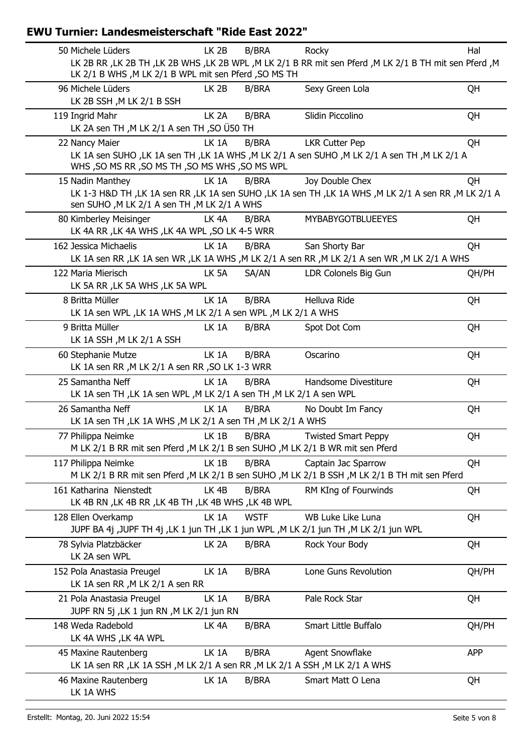| LK <sub>2B</sub>                           | <b>B/BRA</b>                                                                                                                                                                                                                             | Rocky                                                                                                                                                                                                                                                                                                                                                                                                                                                                                                                                                | Hal                                                                                                                                                                                                                                                                                                                                                                                                                                                                                                                                                                                                                                                                                                                                                                                                                                                                                                                                                                                                                                                                                                                                                                                                                                                                                                                                          |
|--------------------------------------------|------------------------------------------------------------------------------------------------------------------------------------------------------------------------------------------------------------------------------------------|------------------------------------------------------------------------------------------------------------------------------------------------------------------------------------------------------------------------------------------------------------------------------------------------------------------------------------------------------------------------------------------------------------------------------------------------------------------------------------------------------------------------------------------------------|----------------------------------------------------------------------------------------------------------------------------------------------------------------------------------------------------------------------------------------------------------------------------------------------------------------------------------------------------------------------------------------------------------------------------------------------------------------------------------------------------------------------------------------------------------------------------------------------------------------------------------------------------------------------------------------------------------------------------------------------------------------------------------------------------------------------------------------------------------------------------------------------------------------------------------------------------------------------------------------------------------------------------------------------------------------------------------------------------------------------------------------------------------------------------------------------------------------------------------------------------------------------------------------------------------------------------------------------|
|                                            |                                                                                                                                                                                                                                          |                                                                                                                                                                                                                                                                                                                                                                                                                                                                                                                                                      |                                                                                                                                                                                                                                                                                                                                                                                                                                                                                                                                                                                                                                                                                                                                                                                                                                                                                                                                                                                                                                                                                                                                                                                                                                                                                                                                              |
|                                            |                                                                                                                                                                                                                                          |                                                                                                                                                                                                                                                                                                                                                                                                                                                                                                                                                      |                                                                                                                                                                                                                                                                                                                                                                                                                                                                                                                                                                                                                                                                                                                                                                                                                                                                                                                                                                                                                                                                                                                                                                                                                                                                                                                                              |
|                                            |                                                                                                                                                                                                                                          |                                                                                                                                                                                                                                                                                                                                                                                                                                                                                                                                                      | QH                                                                                                                                                                                                                                                                                                                                                                                                                                                                                                                                                                                                                                                                                                                                                                                                                                                                                                                                                                                                                                                                                                                                                                                                                                                                                                                                           |
|                                            |                                                                                                                                                                                                                                          |                                                                                                                                                                                                                                                                                                                                                                                                                                                                                                                                                      |                                                                                                                                                                                                                                                                                                                                                                                                                                                                                                                                                                                                                                                                                                                                                                                                                                                                                                                                                                                                                                                                                                                                                                                                                                                                                                                                              |
|                                            |                                                                                                                                                                                                                                          |                                                                                                                                                                                                                                                                                                                                                                                                                                                                                                                                                      | QH                                                                                                                                                                                                                                                                                                                                                                                                                                                                                                                                                                                                                                                                                                                                                                                                                                                                                                                                                                                                                                                                                                                                                                                                                                                                                                                                           |
|                                            |                                                                                                                                                                                                                                          |                                                                                                                                                                                                                                                                                                                                                                                                                                                                                                                                                      |                                                                                                                                                                                                                                                                                                                                                                                                                                                                                                                                                                                                                                                                                                                                                                                                                                                                                                                                                                                                                                                                                                                                                                                                                                                                                                                                              |
|                                            |                                                                                                                                                                                                                                          |                                                                                                                                                                                                                                                                                                                                                                                                                                                                                                                                                      | QH                                                                                                                                                                                                                                                                                                                                                                                                                                                                                                                                                                                                                                                                                                                                                                                                                                                                                                                                                                                                                                                                                                                                                                                                                                                                                                                                           |
|                                            |                                                                                                                                                                                                                                          |                                                                                                                                                                                                                                                                                                                                                                                                                                                                                                                                                      |                                                                                                                                                                                                                                                                                                                                                                                                                                                                                                                                                                                                                                                                                                                                                                                                                                                                                                                                                                                                                                                                                                                                                                                                                                                                                                                                              |
|                                            |                                                                                                                                                                                                                                          |                                                                                                                                                                                                                                                                                                                                                                                                                                                                                                                                                      |                                                                                                                                                                                                                                                                                                                                                                                                                                                                                                                                                                                                                                                                                                                                                                                                                                                                                                                                                                                                                                                                                                                                                                                                                                                                                                                                              |
|                                            |                                                                                                                                                                                                                                          |                                                                                                                                                                                                                                                                                                                                                                                                                                                                                                                                                      | QH                                                                                                                                                                                                                                                                                                                                                                                                                                                                                                                                                                                                                                                                                                                                                                                                                                                                                                                                                                                                                                                                                                                                                                                                                                                                                                                                           |
|                                            |                                                                                                                                                                                                                                          |                                                                                                                                                                                                                                                                                                                                                                                                                                                                                                                                                      |                                                                                                                                                                                                                                                                                                                                                                                                                                                                                                                                                                                                                                                                                                                                                                                                                                                                                                                                                                                                                                                                                                                                                                                                                                                                                                                                              |
|                                            |                                                                                                                                                                                                                                          |                                                                                                                                                                                                                                                                                                                                                                                                                                                                                                                                                      | QH                                                                                                                                                                                                                                                                                                                                                                                                                                                                                                                                                                                                                                                                                                                                                                                                                                                                                                                                                                                                                                                                                                                                                                                                                                                                                                                                           |
|                                            |                                                                                                                                                                                                                                          |                                                                                                                                                                                                                                                                                                                                                                                                                                                                                                                                                      |                                                                                                                                                                                                                                                                                                                                                                                                                                                                                                                                                                                                                                                                                                                                                                                                                                                                                                                                                                                                                                                                                                                                                                                                                                                                                                                                              |
|                                            |                                                                                                                                                                                                                                          |                                                                                                                                                                                                                                                                                                                                                                                                                                                                                                                                                      |                                                                                                                                                                                                                                                                                                                                                                                                                                                                                                                                                                                                                                                                                                                                                                                                                                                                                                                                                                                                                                                                                                                                                                                                                                                                                                                                              |
|                                            |                                                                                                                                                                                                                                          |                                                                                                                                                                                                                                                                                                                                                                                                                                                                                                                                                      | QH                                                                                                                                                                                                                                                                                                                                                                                                                                                                                                                                                                                                                                                                                                                                                                                                                                                                                                                                                                                                                                                                                                                                                                                                                                                                                                                                           |
|                                            |                                                                                                                                                                                                                                          |                                                                                                                                                                                                                                                                                                                                                                                                                                                                                                                                                      |                                                                                                                                                                                                                                                                                                                                                                                                                                                                                                                                                                                                                                                                                                                                                                                                                                                                                                                                                                                                                                                                                                                                                                                                                                                                                                                                              |
|                                            |                                                                                                                                                                                                                                          |                                                                                                                                                                                                                                                                                                                                                                                                                                                                                                                                                      | QH/PH                                                                                                                                                                                                                                                                                                                                                                                                                                                                                                                                                                                                                                                                                                                                                                                                                                                                                                                                                                                                                                                                                                                                                                                                                                                                                                                                        |
|                                            |                                                                                                                                                                                                                                          |                                                                                                                                                                                                                                                                                                                                                                                                                                                                                                                                                      |                                                                                                                                                                                                                                                                                                                                                                                                                                                                                                                                                                                                                                                                                                                                                                                                                                                                                                                                                                                                                                                                                                                                                                                                                                                                                                                                              |
|                                            |                                                                                                                                                                                                                                          |                                                                                                                                                                                                                                                                                                                                                                                                                                                                                                                                                      | QH                                                                                                                                                                                                                                                                                                                                                                                                                                                                                                                                                                                                                                                                                                                                                                                                                                                                                                                                                                                                                                                                                                                                                                                                                                                                                                                                           |
|                                            |                                                                                                                                                                                                                                          |                                                                                                                                                                                                                                                                                                                                                                                                                                                                                                                                                      |                                                                                                                                                                                                                                                                                                                                                                                                                                                                                                                                                                                                                                                                                                                                                                                                                                                                                                                                                                                                                                                                                                                                                                                                                                                                                                                                              |
|                                            |                                                                                                                                                                                                                                          |                                                                                                                                                                                                                                                                                                                                                                                                                                                                                                                                                      | QH                                                                                                                                                                                                                                                                                                                                                                                                                                                                                                                                                                                                                                                                                                                                                                                                                                                                                                                                                                                                                                                                                                                                                                                                                                                                                                                                           |
|                                            |                                                                                                                                                                                                                                          |                                                                                                                                                                                                                                                                                                                                                                                                                                                                                                                                                      |                                                                                                                                                                                                                                                                                                                                                                                                                                                                                                                                                                                                                                                                                                                                                                                                                                                                                                                                                                                                                                                                                                                                                                                                                                                                                                                                              |
|                                            |                                                                                                                                                                                                                                          |                                                                                                                                                                                                                                                                                                                                                                                                                                                                                                                                                      | QH                                                                                                                                                                                                                                                                                                                                                                                                                                                                                                                                                                                                                                                                                                                                                                                                                                                                                                                                                                                                                                                                                                                                                                                                                                                                                                                                           |
|                                            |                                                                                                                                                                                                                                          |                                                                                                                                                                                                                                                                                                                                                                                                                                                                                                                                                      |                                                                                                                                                                                                                                                                                                                                                                                                                                                                                                                                                                                                                                                                                                                                                                                                                                                                                                                                                                                                                                                                                                                                                                                                                                                                                                                                              |
|                                            |                                                                                                                                                                                                                                          |                                                                                                                                                                                                                                                                                                                                                                                                                                                                                                                                                      | QH                                                                                                                                                                                                                                                                                                                                                                                                                                                                                                                                                                                                                                                                                                                                                                                                                                                                                                                                                                                                                                                                                                                                                                                                                                                                                                                                           |
|                                            |                                                                                                                                                                                                                                          |                                                                                                                                                                                                                                                                                                                                                                                                                                                                                                                                                      |                                                                                                                                                                                                                                                                                                                                                                                                                                                                                                                                                                                                                                                                                                                                                                                                                                                                                                                                                                                                                                                                                                                                                                                                                                                                                                                                              |
|                                            |                                                                                                                                                                                                                                          |                                                                                                                                                                                                                                                                                                                                                                                                                                                                                                                                                      | QH                                                                                                                                                                                                                                                                                                                                                                                                                                                                                                                                                                                                                                                                                                                                                                                                                                                                                                                                                                                                                                                                                                                                                                                                                                                                                                                                           |
|                                            |                                                                                                                                                                                                                                          |                                                                                                                                                                                                                                                                                                                                                                                                                                                                                                                                                      |                                                                                                                                                                                                                                                                                                                                                                                                                                                                                                                                                                                                                                                                                                                                                                                                                                                                                                                                                                                                                                                                                                                                                                                                                                                                                                                                              |
|                                            |                                                                                                                                                                                                                                          |                                                                                                                                                                                                                                                                                                                                                                                                                                                                                                                                                      | QH                                                                                                                                                                                                                                                                                                                                                                                                                                                                                                                                                                                                                                                                                                                                                                                                                                                                                                                                                                                                                                                                                                                                                                                                                                                                                                                                           |
|                                            |                                                                                                                                                                                                                                          |                                                                                                                                                                                                                                                                                                                                                                                                                                                                                                                                                      |                                                                                                                                                                                                                                                                                                                                                                                                                                                                                                                                                                                                                                                                                                                                                                                                                                                                                                                                                                                                                                                                                                                                                                                                                                                                                                                                              |
|                                            |                                                                                                                                                                                                                                          |                                                                                                                                                                                                                                                                                                                                                                                                                                                                                                                                                      | QH                                                                                                                                                                                                                                                                                                                                                                                                                                                                                                                                                                                                                                                                                                                                                                                                                                                                                                                                                                                                                                                                                                                                                                                                                                                                                                                                           |
|                                            |                                                                                                                                                                                                                                          |                                                                                                                                                                                                                                                                                                                                                                                                                                                                                                                                                      |                                                                                                                                                                                                                                                                                                                                                                                                                                                                                                                                                                                                                                                                                                                                                                                                                                                                                                                                                                                                                                                                                                                                                                                                                                                                                                                                              |
|                                            |                                                                                                                                                                                                                                          |                                                                                                                                                                                                                                                                                                                                                                                                                                                                                                                                                      | QH                                                                                                                                                                                                                                                                                                                                                                                                                                                                                                                                                                                                                                                                                                                                                                                                                                                                                                                                                                                                                                                                                                                                                                                                                                                                                                                                           |
|                                            |                                                                                                                                                                                                                                          |                                                                                                                                                                                                                                                                                                                                                                                                                                                                                                                                                      |                                                                                                                                                                                                                                                                                                                                                                                                                                                                                                                                                                                                                                                                                                                                                                                                                                                                                                                                                                                                                                                                                                                                                                                                                                                                                                                                              |
|                                            |                                                                                                                                                                                                                                          |                                                                                                                                                                                                                                                                                                                                                                                                                                                                                                                                                      | QH                                                                                                                                                                                                                                                                                                                                                                                                                                                                                                                                                                                                                                                                                                                                                                                                                                                                                                                                                                                                                                                                                                                                                                                                                                                                                                                                           |
|                                            |                                                                                                                                                                                                                                          |                                                                                                                                                                                                                                                                                                                                                                                                                                                                                                                                                      |                                                                                                                                                                                                                                                                                                                                                                                                                                                                                                                                                                                                                                                                                                                                                                                                                                                                                                                                                                                                                                                                                                                                                                                                                                                                                                                                              |
| LK <sub>2A</sub>                           | <b>B/BRA</b>                                                                                                                                                                                                                             |                                                                                                                                                                                                                                                                                                                                                                                                                                                                                                                                                      | QH                                                                                                                                                                                                                                                                                                                                                                                                                                                                                                                                                                                                                                                                                                                                                                                                                                                                                                                                                                                                                                                                                                                                                                                                                                                                                                                                           |
|                                            |                                                                                                                                                                                                                                          |                                                                                                                                                                                                                                                                                                                                                                                                                                                                                                                                                      |                                                                                                                                                                                                                                                                                                                                                                                                                                                                                                                                                                                                                                                                                                                                                                                                                                                                                                                                                                                                                                                                                                                                                                                                                                                                                                                                              |
| LK 1A                                      | <b>B/BRA</b>                                                                                                                                                                                                                             | Lone Guns Revolution                                                                                                                                                                                                                                                                                                                                                                                                                                                                                                                                 | QH/PH                                                                                                                                                                                                                                                                                                                                                                                                                                                                                                                                                                                                                                                                                                                                                                                                                                                                                                                                                                                                                                                                                                                                                                                                                                                                                                                                        |
| LK 1A sen RR, M LK 2/1 A sen RR            |                                                                                                                                                                                                                                          |                                                                                                                                                                                                                                                                                                                                                                                                                                                                                                                                                      |                                                                                                                                                                                                                                                                                                                                                                                                                                                                                                                                                                                                                                                                                                                                                                                                                                                                                                                                                                                                                                                                                                                                                                                                                                                                                                                                              |
| LK 1A                                      | <b>B/BRA</b>                                                                                                                                                                                                                             | Pale Rock Star                                                                                                                                                                                                                                                                                                                                                                                                                                                                                                                                       | QH                                                                                                                                                                                                                                                                                                                                                                                                                                                                                                                                                                                                                                                                                                                                                                                                                                                                                                                                                                                                                                                                                                                                                                                                                                                                                                                                           |
|                                            |                                                                                                                                                                                                                                          |                                                                                                                                                                                                                                                                                                                                                                                                                                                                                                                                                      |                                                                                                                                                                                                                                                                                                                                                                                                                                                                                                                                                                                                                                                                                                                                                                                                                                                                                                                                                                                                                                                                                                                                                                                                                                                                                                                                              |
| JUPF RN 5j , LK 1 jun RN , M LK 2/1 jun RN |                                                                                                                                                                                                                                          |                                                                                                                                                                                                                                                                                                                                                                                                                                                                                                                                                      |                                                                                                                                                                                                                                                                                                                                                                                                                                                                                                                                                                                                                                                                                                                                                                                                                                                                                                                                                                                                                                                                                                                                                                                                                                                                                                                                              |
| LK <sub>4</sub> A                          | <b>B/BRA</b>                                                                                                                                                                                                                             | Smart Little Buffalo                                                                                                                                                                                                                                                                                                                                                                                                                                                                                                                                 | QH/PH                                                                                                                                                                                                                                                                                                                                                                                                                                                                                                                                                                                                                                                                                                                                                                                                                                                                                                                                                                                                                                                                                                                                                                                                                                                                                                                                        |
|                                            |                                                                                                                                                                                                                                          |                                                                                                                                                                                                                                                                                                                                                                                                                                                                                                                                                      |                                                                                                                                                                                                                                                                                                                                                                                                                                                                                                                                                                                                                                                                                                                                                                                                                                                                                                                                                                                                                                                                                                                                                                                                                                                                                                                                              |
| LK 1A                                      | <b>B/BRA</b>                                                                                                                                                                                                                             | <b>Agent Snowflake</b>                                                                                                                                                                                                                                                                                                                                                                                                                                                                                                                               | <b>APP</b>                                                                                                                                                                                                                                                                                                                                                                                                                                                                                                                                                                                                                                                                                                                                                                                                                                                                                                                                                                                                                                                                                                                                                                                                                                                                                                                                   |
|                                            |                                                                                                                                                                                                                                          | LK 1A sen RR, LK 1A SSH, M LK 2/1 A sen RR, M LK 2/1 A SSH, M LK 2/1 A WHS                                                                                                                                                                                                                                                                                                                                                                                                                                                                           |                                                                                                                                                                                                                                                                                                                                                                                                                                                                                                                                                                                                                                                                                                                                                                                                                                                                                                                                                                                                                                                                                                                                                                                                                                                                                                                                              |
| LK 1A                                      | <b>B/BRA</b>                                                                                                                                                                                                                             | Smart Matt O Lena                                                                                                                                                                                                                                                                                                                                                                                                                                                                                                                                    | QH                                                                                                                                                                                                                                                                                                                                                                                                                                                                                                                                                                                                                                                                                                                                                                                                                                                                                                                                                                                                                                                                                                                                                                                                                                                                                                                                           |
|                                            | LK <sub>2B</sub><br>LK <sub>2</sub> A<br>LK 1A<br>LK <sub>1</sub> A<br>LK <sub>4</sub> A<br>LK 1A<br>LK 5A<br>LK 5A RR, LK 5A WHS, LK 5A WPL<br>LK 1A<br>LK 1A<br>LK 1A<br>LK 1A<br>LK 1A<br>LK 1B<br>LK 1B<br>LK <sub>4B</sub><br>LK 1A | <b>B/BRA</b><br><b>B/BRA</b><br>LK 2A sen TH, M LK 2/1 A sen TH, SO US0 TH<br><b>B/BRA</b><br>WHS, SO MS RR, SO MS TH, SO MS WHS, SO MS WPL<br><b>B/BRA</b><br>sen SUHO, M LK 2/1 A sen TH, M LK 2/1 A WHS<br>B/BRA<br>LK 4A RR, LK 4A WHS, LK 4A WPL, SO LK 4-5 WRR<br><b>B/BRA</b><br>SA/AN<br><b>B/BRA</b><br><b>B/BRA</b><br><b>B/BRA</b><br>LK 1A sen RR, M LK 2/1 A sen RR, SO LK 1-3 WRR<br><b>B/BRA</b><br><b>B/BRA</b><br><b>B/BRA</b><br><b>B/BRA</b><br><b>B/BRA</b><br>LK 4B RN, LK 4B RR, LK 4B TH, LK 4B WHS, LK 4B WPL<br><b>WSTF</b> | LK 2B RR , LK 2B TH , LK 2B WHS , LK 2B WPL , M LK 2/1 B RR mit sen Pferd , M LK 2/1 B TH mit sen Pferd , M<br>LK 2/1 B WHS , M LK 2/1 B WPL mit sen Pferd , SO MS TH<br>Sexy Green Lola<br>Slidin Piccolino<br><b>LKR Cutter Pep</b><br>LK 1A sen SUHO ,LK 1A sen TH ,LK 1A WHS ,M LK 2/1 A sen SUHO ,M LK 2/1 A sen TH ,M LK 2/1 A<br>Joy Double Chex<br>LK 1-3 H&D TH , LK 1A sen RR , LK 1A sen SUHO , LK 1A sen TH , LK 1A WHS , M LK 2/1 A sen RR , M LK 2/1 A<br><b>MYBABYGOTBLUEEYES</b><br>San Shorty Bar<br>LK 1A sen RR, LK 1A sen WR, LK 1A WHS, M LK 2/1 A sen RR, M LK 2/1 A sen WR, M LK 2/1 A WHS<br>LDR Colonels Big Gun<br>Helluva Ride<br>LK 1A sen WPL , LK 1A WHS , M LK 2/1 A sen WPL , M LK 2/1 A WHS<br>Spot Dot Com<br>Oscarino<br>Handsome Divestiture<br>LK 1A sen TH, LK 1A sen WPL, M LK 2/1 A sen TH, M LK 2/1 A sen WPL<br>No Doubt Im Fancy<br>LK 1A sen TH, LK 1A WHS, M LK 2/1 A sen TH, M LK 2/1 A WHS<br><b>Twisted Smart Peppy</b><br>M LK 2/1 B RR mit sen Pferd , M LK 2/1 B sen SUHO , M LK 2/1 B WR mit sen Pferd<br>Captain Jac Sparrow<br>M LK 2/1 B RR mit sen Pferd , M LK 2/1 B sen SUHO , M LK 2/1 B SSH , M LK 2/1 B TH mit sen Pferd<br>RM KIng of Fourwinds<br>WB Luke Like Luna<br>JUPF BA 4j ,JUPF TH 4j ,LK 1 jun TH ,LK 1 jun WPL ,M LK 2/1 jun TH ,M LK 2/1 jun WPL<br>Rock Your Body |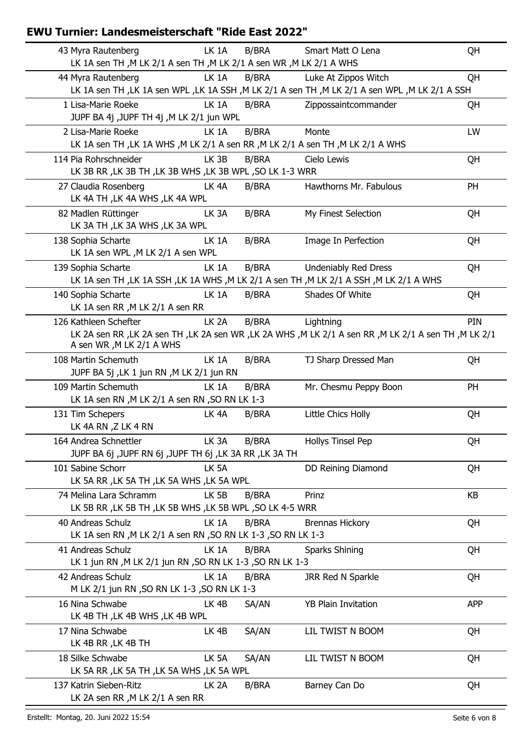| 43 Myra Rautenberg                                                                                      | LK 1A             | <b>B/BRA</b> | Smart Matt O Lena                                                                                   | QH         |
|---------------------------------------------------------------------------------------------------------|-------------------|--------------|-----------------------------------------------------------------------------------------------------|------------|
| LK 1A sen TH, M LK 2/1 A sen TH, M LK 2/1 A sen WR, M LK 2/1 A WHS                                      |                   |              |                                                                                                     |            |
| 44 Myra Rautenberg                                                                                      | LK 1A             | <b>B/BRA</b> | Luke At Zippos Witch                                                                                | QH         |
|                                                                                                         |                   |              | LK 1A sen TH , LK 1A sen WPL , LK 1A SSH , M LK 2/1 A sen TH , M LK 2/1 A sen WPL , M LK 2/1 A SSH  |            |
| 1 Lisa-Marie Roeke                                                                                      | LK 1A             | <b>B/BRA</b> | Zippossaintcommander                                                                                | QH         |
| JUPF BA 4j ,JUPF TH 4j ,M LK 2/1 jun WPL                                                                |                   |              |                                                                                                     |            |
| 2 Lisa-Marie Roeke<br>LK 1A sen TH , LK 1A WHS , M LK 2/1 A sen RR , M LK 2/1 A sen TH , M LK 2/1 A WHS | LK 1A             | B/BRA        | Monte                                                                                               | LW         |
| 114 Pia Rohrschneider                                                                                   | LK <sub>3B</sub>  | <b>B/BRA</b> | Cielo Lewis                                                                                         | QH         |
| LK 3B RR, LK 3B TH, LK 3B WHS, LK 3B WPL, SO LK 1-3 WRR                                                 |                   |              |                                                                                                     |            |
| 27 Claudia Rosenberg                                                                                    | LK <sub>4</sub> A | <b>B/BRA</b> | Hawthorns Mr. Fabulous                                                                              | PH         |
| LK 4A TH, LK 4A WHS, LK 4A WPL                                                                          |                   |              |                                                                                                     |            |
| 82 Madlen Rüttinger                                                                                     | LK <sub>3</sub> A | <b>B/BRA</b> | My Finest Selection                                                                                 | QH         |
| LK 3A TH, LK 3A WHS, LK 3A WPL                                                                          |                   |              |                                                                                                     |            |
| 138 Sophia Scharte                                                                                      | LK 1A             | <b>B/BRA</b> | Image In Perfection                                                                                 | QH         |
| LK 1A sen WPL, M LK 2/1 A sen WPL                                                                       |                   |              |                                                                                                     |            |
| 139 Sophia Scharte                                                                                      | LK 1A             | <b>B/BRA</b> | <b>Undeniably Red Dress</b>                                                                         | QH         |
|                                                                                                         |                   |              | LK 1A sen TH , LK 1A SSH , LK 1A WHS , M LK 2/1 A sen TH , M LK 2/1 A SSH , M LK 2/1 A WHS          |            |
| 140 Sophia Scharte                                                                                      | LK 1A             | <b>B/BRA</b> | Shades Of White                                                                                     | QH         |
| LK 1A sen RR, M LK 2/1 A sen RR                                                                         |                   |              |                                                                                                     |            |
| 126 Kathleen Schefter                                                                                   | LK <sub>2</sub> A | <b>B/BRA</b> | Lightning                                                                                           | PIN        |
| A sen WR, M LK 2/1 A WHS                                                                                |                   |              | LK 2A sen RR, LK 2A sen TH, LK 2A sen WR, LK 2A WHS, M LK 2/1 A sen RR, M LK 2/1 A sen TH, M LK 2/1 |            |
| 108 Martin Schemuth                                                                                     | LK 1A             | <b>B/BRA</b> | TJ Sharp Dressed Man                                                                                | QH         |
| JUPF BA 5j, LK 1 jun RN, M LK 2/1 jun RN                                                                |                   |              |                                                                                                     |            |
| 109 Martin Schemuth                                                                                     | LK 1A             | <b>B/BRA</b> | Mr. Chesmu Peppy Boon                                                                               | PH         |
| LK 1A sen RN , M LK 2/1 A sen RN , SO RN LK 1-3                                                         |                   |              |                                                                                                     |            |
| 131 Tim Schepers                                                                                        | LK <sub>4A</sub>  | <b>B/BRA</b> | Little Chics Holly                                                                                  | QH         |
| LK 4A RN, Z LK 4 RN                                                                                     |                   |              |                                                                                                     |            |
| 164 Andrea Schnettler                                                                                   | LK <sub>3</sub> A | <b>B/BRA</b> | <b>Hollys Tinsel Pep</b>                                                                            | QH         |
| JUPF BA 6j ,JUPF RN 6j ,JUPF TH 6j ,LK 3A RR ,LK 3A TH                                                  |                   |              |                                                                                                     |            |
| 101 Sabine Schorr                                                                                       | LK 5A             |              | DD Reining Diamond                                                                                  | QH         |
| LK 5A RR, LK 5A TH, LK 5A WHS, LK 5A WPL                                                                |                   |              |                                                                                                     |            |
| 74 Melina Lara Schramm                                                                                  | LK 5B             | <b>B/BRA</b> | Prinz                                                                                               | KB         |
| LK 5B RR, LK 5B TH, LK 5B WHS, LK 5B WPL, SO LK 4-5 WRR                                                 |                   |              |                                                                                                     |            |
| 40 Andreas Schulz                                                                                       | LK 1A             | <b>B/BRA</b> | <b>Brennas Hickory</b>                                                                              | QH         |
| LK 1A sen RN , M LK 2/1 A sen RN , SO RN LK 1-3 , SO RN LK 1-3                                          |                   |              |                                                                                                     |            |
| 41 Andreas Schulz                                                                                       | LK 1A             | <b>B/BRA</b> | Sparks Shining                                                                                      | QH         |
| LK 1 jun RN , M LK 2/1 jun RN , SO RN LK 1-3 , SO RN LK 1-3                                             |                   |              |                                                                                                     |            |
| 42 Andreas Schulz<br>M LK 2/1 jun RN , SO RN LK 1-3 , SO RN LK 1-3                                      | LK 1A             | <b>B/BRA</b> | JRR Red N Sparkle                                                                                   | QH         |
| 16 Nina Schwabe                                                                                         | LK <sub>4B</sub>  | SA/AN        | <b>YB Plain Invitation</b>                                                                          | <b>APP</b> |
| LK 4B TH, LK 4B WHS, LK 4B WPL                                                                          |                   |              |                                                                                                     |            |
| 17 Nina Schwabe                                                                                         | LK 4B             | SA/AN        | LIL TWIST N BOOM                                                                                    | QH         |
| LK 4B RR, LK 4B TH                                                                                      |                   |              |                                                                                                     |            |
| 18 Silke Schwabe                                                                                        | LK 5A             | SA/AN        | LIL TWIST N BOOM                                                                                    | QH         |
| LK 5A RR, LK 5A TH, LK 5A WHS, LK 5A WPL                                                                |                   |              |                                                                                                     |            |
| 137 Katrin Sieben-Ritz                                                                                  | LK <sub>2A</sub>  | B/BRA        | Barney Can Do                                                                                       | QH         |
| LK 2A sen RR, M LK 2/1 A sen RR                                                                         |                   |              |                                                                                                     |            |
|                                                                                                         |                   |              |                                                                                                     |            |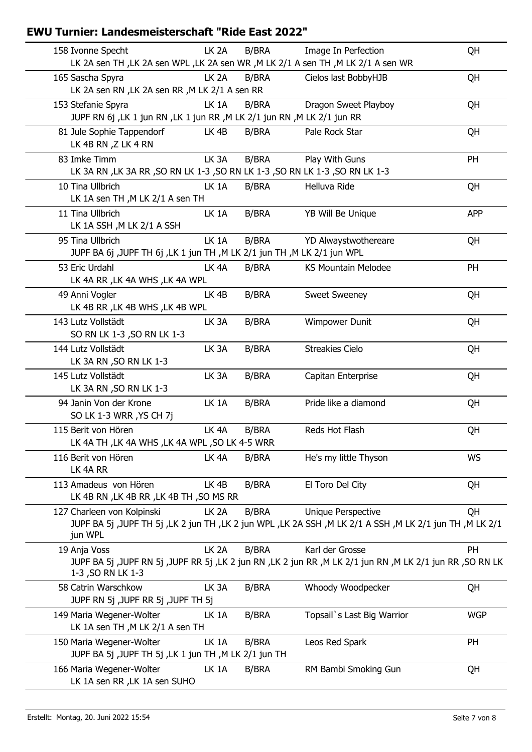| 158 Ivonne Specht                                                                               | LK <sub>2A</sub>  | <b>B/BRA</b> | Image In Perfection                                                                                           | QH         |
|-------------------------------------------------------------------------------------------------|-------------------|--------------|---------------------------------------------------------------------------------------------------------------|------------|
|                                                                                                 |                   |              | LK 2A sen TH , LK 2A sen WPL , LK 2A sen WR , M LK 2/1 A sen TH , M LK 2/1 A sen WR                           |            |
| 165 Sascha Spyra<br>LK 2A sen RN , LK 2A sen RR , M LK 2/1 A sen RR                             | LK <sub>2</sub> A | <b>B/BRA</b> | Cielos last BobbyHJB                                                                                          | QH         |
| 153 Stefanie Spyra                                                                              | LK 1A             | <b>B/BRA</b> | Dragon Sweet Playboy                                                                                          | QH         |
| JUPF RN 6j , LK 1 jun RN , LK 1 jun RR , M LK 2/1 jun RN , M LK 2/1 jun RR                      |                   |              |                                                                                                               |            |
| 81 Jule Sophie Tappendorf<br>LK 4B RN, Z LK 4 RN                                                | LK <sub>4B</sub>  | <b>B/BRA</b> | Pale Rock Star                                                                                                | QH         |
| 83 Imke Timm<br>LK 3A RN , LK 3A RR , SO RN LK 1-3 , SO RN LK 1-3 , SO RN LK 1-3 , SO RN LK 1-3 | LK <sub>3</sub> A | <b>B/BRA</b> | Play With Guns                                                                                                | PH         |
| 10 Tina Ullbrich<br>LK 1A sen TH, M LK 2/1 A sen TH                                             | LK 1A             | <b>B/BRA</b> | Helluva Ride                                                                                                  | QH         |
| 11 Tina Ullbrich<br>LK 1A SSH, M LK 2/1 A SSH                                                   | LK 1A             | <b>B/BRA</b> | YB Will Be Unique                                                                                             | <b>APP</b> |
| 95 Tina Ullbrich<br>JUPF BA 6j ,JUPF TH 6j ,LK 1 jun TH ,M LK 2/1 jun TH ,M LK 2/1 jun WPL      | LK 1A             | <b>B/BRA</b> | YD Alwaystwothereare                                                                                          | QH         |
| 53 Eric Urdahl<br>LK 4A RR, LK 4A WHS, LK 4A WPL                                                | LK <sub>4</sub> A | B/BRA        | <b>KS Mountain Melodee</b>                                                                                    | <b>PH</b>  |
| 49 Anni Vogler<br>LK 4B RR, LK 4B WHS, LK 4B WPL                                                | LK <sub>4B</sub>  | B/BRA        | Sweet Sweeney                                                                                                 | QH         |
| 143 Lutz Vollstädt<br>SO RN LK 1-3, SO RN LK 1-3                                                | LK <sub>3</sub> A | <b>B/BRA</b> | <b>Wimpower Dunit</b>                                                                                         | QH         |
| 144 Lutz Vollstädt<br>LK 3A RN , SO RN LK 1-3                                                   | LK <sub>3</sub> A | <b>B/BRA</b> | <b>Streakies Cielo</b>                                                                                        | QH         |
| 145 Lutz Vollstädt<br>LK 3A RN , SO RN LK 1-3                                                   | LK <sub>3</sub> A | <b>B/BRA</b> | Capitan Enterprise                                                                                            | QH         |
| 94 Janin Von der Krone<br>SO LK 1-3 WRR, YS CH 7j                                               | LK 1A             | <b>B/BRA</b> | Pride like a diamond                                                                                          | QH         |
| 115 Berit von Hören<br>LK 4A TH, LK 4A WHS, LK 4A WPL, SO LK 4-5 WRR                            | LK <sub>4</sub> A | <b>B/BRA</b> | Reds Hot Flash                                                                                                | QH         |
| 116 Berit von Hören<br>LK 4A RR                                                                 | LK <sub>4</sub> A | <b>B/BRA</b> | He's my little Thyson                                                                                         | WS         |
| 113 Amadeus von Hören<br>LK 4B RN, LK 4B RR, LK 4B TH, SO MS RR                                 | LK 4B             | <b>B/BRA</b> | El Toro Del City                                                                                              | QH         |
| 127 Charleen von Kolpinski                                                                      | LK <sub>2A</sub>  | <b>B/BRA</b> | Unique Perspective                                                                                            | QH         |
| jun WPL                                                                                         |                   |              | M LK 2/1 (M LK 2/1 (M LK 2) JUPF TH 5j ,LK 2 jun TH ,LK 2 jun WPL ,LK 2A SSH ,M LK 2/1 A SSH ,M LK 2/1 jun TH |            |
| 19 Anja Voss                                                                                    | LK <sub>2A</sub>  | <b>B/BRA</b> | Karl der Grosse                                                                                               | PH         |
| 1-3, SO RN LK 1-3                                                                               |                   |              | JUPF BA 5j ,JUPF RN 5j ,JUPF RR 5j ,LK 2 jun RN ,LK 2 jun RR ,M LK 2/1 jun RN ,M LK 2/1 jun RR ,SO RN LK      |            |
| 58 Catrin Warschkow<br>JUPF RN 5j ,JUPF RR 5j ,JUPF TH 5j                                       | LK <sub>3</sub> A | <b>B/BRA</b> | Whoody Woodpecker                                                                                             | QH         |
| 149 Maria Wegener-Wolter<br>LK 1A sen TH, M LK 2/1 A sen TH                                     | LK 1A             | B/BRA        | Topsail`s Last Big Warrior                                                                                    | <b>WGP</b> |
| 150 Maria Wegener-Wolter<br>JUPF BA 5j ,JUPF TH 5j ,LK 1 jun TH ,M LK 2/1 jun TH                | LK 1A             | B/BRA        | Leos Red Spark                                                                                                | PH         |
| 166 Maria Wegener-Wolter<br>LK 1A sen RR, LK 1A sen SUHO                                        | LK 1A             | B/BRA        | RM Bambi Smoking Gun                                                                                          | QH         |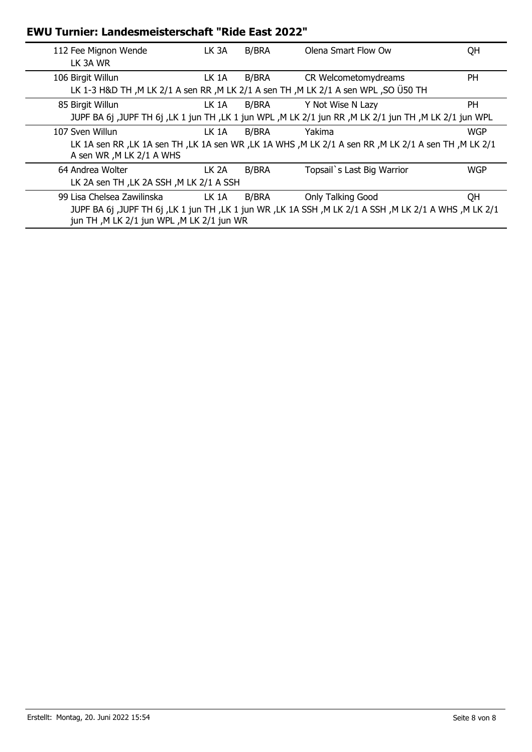| 112 Fee Mignon Wende<br>LK 3A WR                                        | LK 3A | <b>B/BRA</b> | Olena Smart Flow Ow                                                                                                        | QH         |
|-------------------------------------------------------------------------|-------|--------------|----------------------------------------------------------------------------------------------------------------------------|------------|
| 106 Birgit Willun                                                       | LK 1A | B/BRA        | CR Welcometomydreams<br>LK 1-3 H&D TH , M LK 2/1 A sen RR , M LK 2/1 A sen TH , M LK 2/1 A sen WPL , SO USO TH             | <b>PH</b>  |
| 85 Birgit Willun                                                        | LK 1A | B/BRA        | Y Not Wise N Lazy<br>JUPF BA 6j ,JUPF TH 6j ,LK 1 jun TH ,LK 1 jun WPL ,M LK 2/1 jun RR ,M LK 2/1 jun TH ,M LK 2/1 jun WPL | PH.        |
| 107 Sven Willun<br>A sen WR, M LK 2/1 A WHS                             | LK 1A | B/BRA        | Yakima<br>LK 1A sen RR, LK 1A sen TH, LK 1A sen WR, LK 1A WHS, M LK 2/1 A sen RR, M LK 2/1 A sen TH, M LK 2/1              | <b>WGP</b> |
| 64 Andrea Wolter<br>LK 2A sen TH, LK 2A SSH, M LK 2/1 A SSH             | LK 2A | B/BRA        | Topsail`s Last Big Warrior                                                                                                 | <b>WGP</b> |
| 99 Lisa Chelsea Zawilinska<br>jun TH, M LK 2/1 jun WPL, M LK 2/1 jun WR | LK 1A | B/BRA        | Only Talking Good<br>JUPF BA 6j ,JUPF TH 6j ,LK 1 jun TH ,LK 1 jun WR ,LK 1A SSH ,M LK 2/1 A SSH ,M LK 2/1 A WHS ,M LK 2/1 | QH         |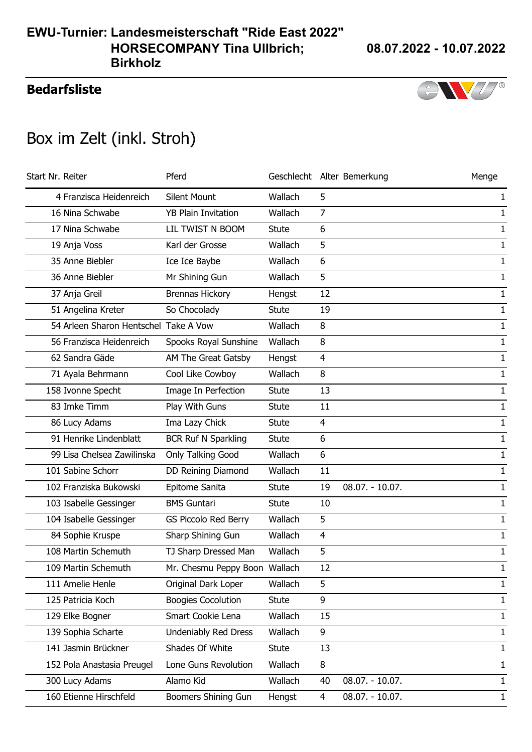### **Bedarfsliste**



# Box im Zelt (inkl. Stroh)

| Start Nr. Reiter                      | Pferd                         |              |                | Geschlecht Alter Bemerkung | Menge        |
|---------------------------------------|-------------------------------|--------------|----------------|----------------------------|--------------|
| 4 Franzisca Heidenreich               | <b>Silent Mount</b>           | Wallach      | 5              |                            | 1            |
| 16 Nina Schwabe                       | <b>YB Plain Invitation</b>    | Wallach      | 7              |                            | 1            |
| 17 Nina Schwabe                       | LIL TWIST N BOOM              | <b>Stute</b> | 6              |                            | 1            |
| 19 Anja Voss                          | Karl der Grosse               | Wallach      | 5              |                            | 1            |
| 35 Anne Biebler                       | Ice Ice Baybe                 | Wallach      | 6              |                            | 1            |
| 36 Anne Biebler                       | Mr Shining Gun                | Wallach      | 5              |                            | 1            |
| 37 Anja Greil                         | <b>Brennas Hickory</b>        | Hengst       | 12             |                            | $\mathbf{1}$ |
| 51 Angelina Kreter                    | So Chocolady                  | <b>Stute</b> | 19             |                            | 1            |
| 54 Arleen Sharon Hentschel Take A Vow |                               | Wallach      | 8              |                            | $\mathbf{1}$ |
| 56 Franzisca Heidenreich              | Spooks Royal Sunshine         | Wallach      | 8              |                            | $\mathbf{1}$ |
| 62 Sandra Gäde                        | AM The Great Gatsby           | Hengst       | $\overline{4}$ |                            | 1            |
| 71 Ayala Behrmann                     | Cool Like Cowboy              | Wallach      | 8              |                            | 1            |
| 158 Ivonne Specht                     | Image In Perfection           | <b>Stute</b> | 13             |                            | $\mathbf{1}$ |
| 83 Imke Timm                          | Play With Guns                | <b>Stute</b> | 11             |                            | $\mathbf{1}$ |
| 86 Lucy Adams                         | Ima Lazy Chick                | <b>Stute</b> | $\overline{4}$ |                            | 1            |
| 91 Henrike Lindenblatt                | <b>BCR Ruf N Sparkling</b>    | <b>Stute</b> | 6              |                            | 1            |
| 99 Lisa Chelsea Zawilinska            | Only Talking Good             | Wallach      | 6              |                            | 1            |
| 101 Sabine Schorr                     | DD Reining Diamond            | Wallach      | 11             |                            | $\mathbf{1}$ |
| 102 Franziska Bukowski                | Epitome Sanita                | <b>Stute</b> | 19             | $08.07. - 10.07.$          | $\mathbf{1}$ |
| 103 Isabelle Gessinger                | <b>BMS Guntari</b>            | <b>Stute</b> | 10             |                            | $\mathbf{1}$ |
| 104 Isabelle Gessinger                | <b>GS Piccolo Red Berry</b>   | Wallach      | 5              |                            | 1            |
| 84 Sophie Kruspe                      | Sharp Shining Gun             | Wallach      | $\overline{4}$ |                            | $\mathbf{1}$ |
| 108 Martin Schemuth                   | TJ Sharp Dressed Man          | Wallach      | 5              |                            | 1            |
| 109 Martin Schemuth                   | Mr. Chesmu Peppy Boon Wallach |              | 12             |                            | $\mathbf{1}$ |
| 111 Amelie Henle                      | Original Dark Loper           | Wallach      | 5              |                            | $\mathbf{1}$ |
| 125 Patricia Koch                     | <b>Boogies Cocolution</b>     | Stute        | 9              |                            | $\mathbf{1}$ |
| 129 Elke Bogner                       | Smart Cookie Lena             | Wallach      | 15             |                            | $\mathbf{1}$ |
| 139 Sophia Scharte                    | Undeniably Red Dress          | Wallach      | 9              |                            | $\mathbf{1}$ |
| 141 Jasmin Brückner                   | Shades Of White               | Stute        | 13             |                            | $\mathbf{1}$ |
| 152 Pola Anastasia Preugel            | Lone Guns Revolution          | Wallach      | 8              |                            | $\mathbf{1}$ |
| 300 Lucy Adams                        | Alamo Kid                     | Wallach      | 40             | $08.07. - 10.07.$          | $\mathbf{1}$ |
| 160 Etienne Hirschfeld                | Boomers Shining Gun           | Hengst       | 4              | $08.07. - 10.07.$          | $\mathbf{1}$ |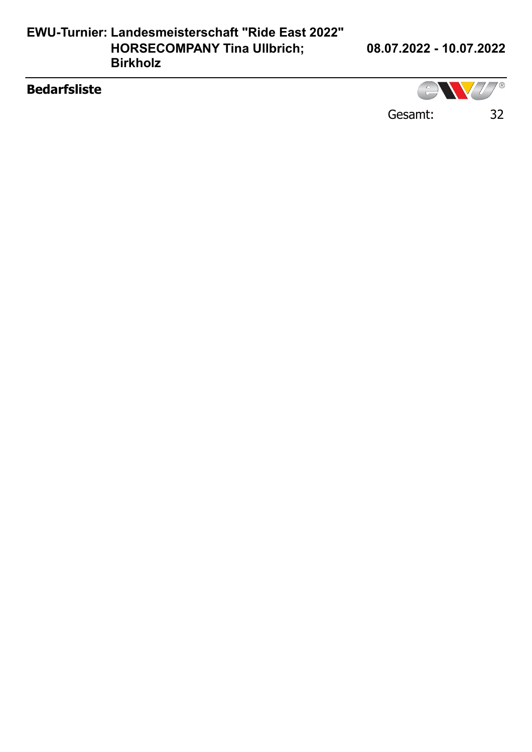### **EWU-Turnier: Landesmeisterschaft "Ride East 2022" HORSECOMPANY Tina Ullbrich; Birkholz**

**08.07.2022 - 10.07.2022**

### **Bedarfsliste**

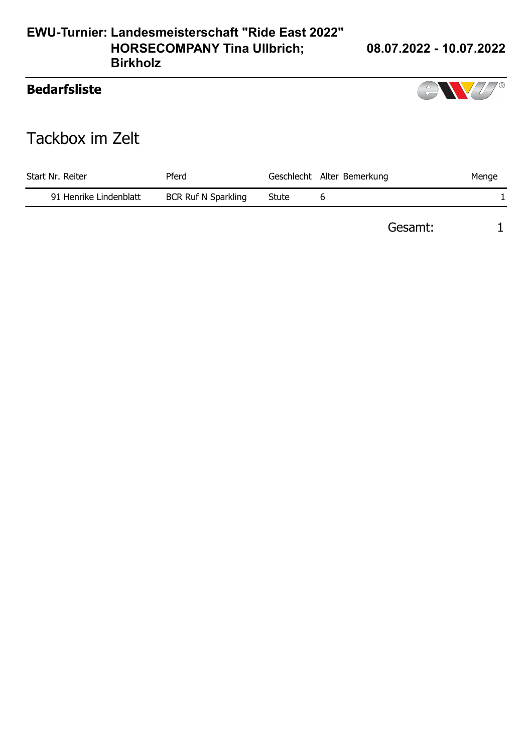#### **EWU-Turnier: Landesmeisterschaft "Ride East 2022" HORSECOMPANY Tina Ullbrich; Birkholz**

### **08.07.2022 - 10.07.2022**

### **Bedarfsliste**



# Tackbox im Zelt

| Start Nr. Reiter       | Pferd                      |       | Geschlecht Alter Bemerkung | Menge |
|------------------------|----------------------------|-------|----------------------------|-------|
| 91 Henrike Lindenblatt | <b>BCR Ruf N Sparkling</b> | Stute |                            |       |

Gesamt: 1